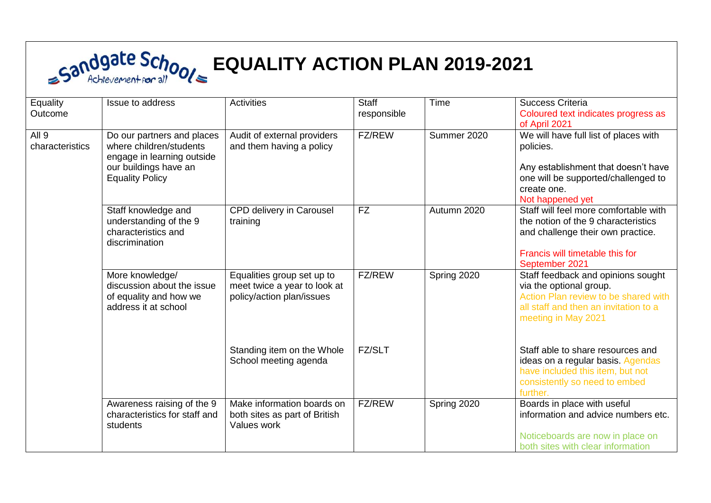## **EQUALITY ACTION PLAN 2019-2021**

| Equality<br>Outcome                 | Issue to address                                                                                                                       | <b>Activities</b>                                                                       | <b>Staff</b><br>responsible | Time        | Success Criteria<br>Coloured text indicates progress as<br>of April 2021                                                                                               |
|-------------------------------------|----------------------------------------------------------------------------------------------------------------------------------------|-----------------------------------------------------------------------------------------|-----------------------------|-------------|------------------------------------------------------------------------------------------------------------------------------------------------------------------------|
| All <sub>9</sub><br>characteristics | Do our partners and places<br>where children/students<br>engage in learning outside<br>our buildings have an<br><b>Equality Policy</b> | Audit of external providers<br>and them having a policy                                 | <b>FZ/REW</b>               | Summer 2020 | We will have full list of places with<br>policies.<br>Any establishment that doesn't have<br>one will be supported/challenged to<br>create one.<br>Not happened yet    |
|                                     | Staff knowledge and<br>understanding of the 9<br>characteristics and<br>discrimination                                                 | CPD delivery in Carousel<br>training                                                    | <b>FZ</b>                   | Autumn 2020 | Staff will feel more comfortable with<br>the notion of the 9 characteristics<br>and challenge their own practice.<br>Francis will timetable this for<br>September 2021 |
|                                     | More knowledge/<br>discussion about the issue<br>of equality and how we<br>address it at school                                        | Equalities group set up to<br>meet twice a year to look at<br>policy/action plan/issues | FZ/REW                      | Spring 2020 | Staff feedback and opinions sought<br>via the optional group.<br>Action Plan review to be shared with<br>all staff and then an invitation to a<br>meeting in May 2021  |
|                                     |                                                                                                                                        | Standing item on the Whole<br>School meeting agenda                                     | <b>FZ/SLT</b>               |             | Staff able to share resources and<br>ideas on a regular basis. Agendas<br>have included this item, but not<br>consistently so need to embed<br>further.                |
|                                     | Awareness raising of the 9<br>characteristics for staff and<br>students                                                                | Make information boards on<br>both sites as part of British<br>Values work              | <b>FZ/REW</b>               | Spring 2020 | Boards in place with useful<br>information and advice numbers etc.<br>Noticeboards are now in place on<br>both sites with clear information                            |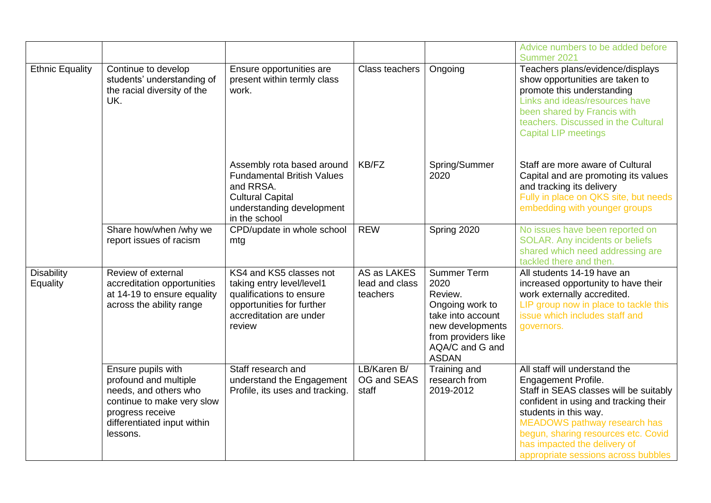|                               |                                                                                                                                                                   |                                                                                                                                                       |                                           |                                                                                                                                                             | Advice numbers to be added before<br>Summer 2021                                                                                                                                                                                                                                                                      |
|-------------------------------|-------------------------------------------------------------------------------------------------------------------------------------------------------------------|-------------------------------------------------------------------------------------------------------------------------------------------------------|-------------------------------------------|-------------------------------------------------------------------------------------------------------------------------------------------------------------|-----------------------------------------------------------------------------------------------------------------------------------------------------------------------------------------------------------------------------------------------------------------------------------------------------------------------|
| <b>Ethnic Equality</b>        | Continue to develop<br>students' understanding of<br>the racial diversity of the<br>UK.                                                                           | Ensure opportunities are<br>present within termly class<br>work.                                                                                      | Class teachers                            | Ongoing                                                                                                                                                     | Teachers plans/evidence/displays<br>show opportunities are taken to<br>promote this understanding<br>Links and ideas/resources have<br>been shared by Francis with<br>teachers. Discussed in the Cultural<br><b>Capital LIP meetings</b>                                                                              |
|                               |                                                                                                                                                                   | Assembly rota based around<br><b>Fundamental British Values</b><br>and RRSA.<br><b>Cultural Capital</b><br>understanding development<br>in the school | KB/FZ                                     | Spring/Summer<br>2020                                                                                                                                       | Staff are more aware of Cultural<br>Capital and are promoting its values<br>and tracking its delivery<br>Fully in place on QKS site, but needs<br>embedding with younger groups                                                                                                                                       |
|                               | Share how/when /why we<br>report issues of racism                                                                                                                 | CPD/update in whole school<br>mtg                                                                                                                     | <b>REW</b>                                | Spring 2020                                                                                                                                                 | No issues have been reported on<br>SOLAR. Any incidents or beliefs<br>shared which need addressing are<br>tackled there and then.                                                                                                                                                                                     |
| <b>Disability</b><br>Equality | Review of external<br>accreditation opportunities<br>at 14-19 to ensure equality<br>across the ability range                                                      | KS4 and KS5 classes not<br>taking entry level/level1<br>qualifications to ensure<br>opportunities for further<br>accreditation are under<br>review    | AS as LAKES<br>lead and class<br>teachers | <b>Summer Term</b><br>2020<br>Review.<br>Ongoing work to<br>take into account<br>new developments<br>from providers like<br>AQA/C and G and<br><b>ASDAN</b> | All students 14-19 have an<br>increased opportunity to have their<br>work externally accredited.<br>LIP group now in place to tackle this<br>issue which includes staff and<br>governors.                                                                                                                             |
|                               | Ensure pupils with<br>profound and multiple<br>needs, and others who<br>continue to make very slow<br>progress receive<br>differentiated input within<br>lessons. | Staff research and<br>understand the Engagement<br>Profile, its uses and tracking.                                                                    | LB/Karen B/<br>OG and SEAS<br>staff       | Training and<br>research from<br>2019-2012                                                                                                                  | All staff will understand the<br><b>Engagement Profile.</b><br>Staff in SEAS classes will be suitably<br>confident in using and tracking their<br>students in this way.<br>MEADOWS pathway research has<br>begun, sharing resources etc. Covid<br>has impacted the delivery of<br>appropriate sessions across bubbles |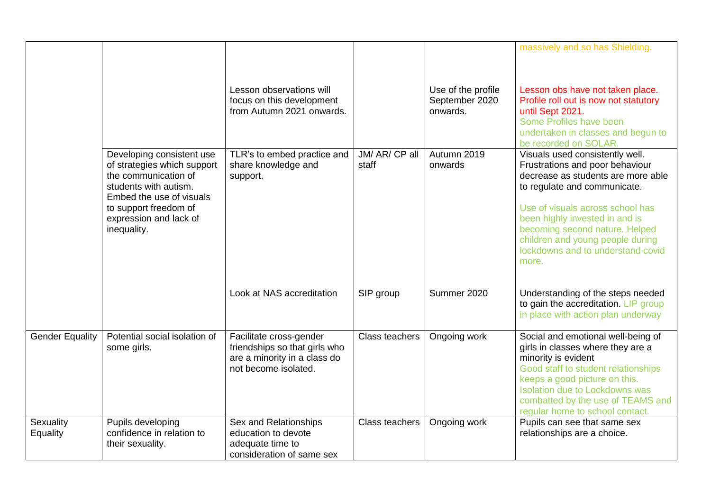|                        |                                                                                                                                                                                                         | Lesson observations will<br>focus on this development<br>from Autumn 2021 onwards.                               |                         | Use of the profile<br>September 2020<br>onwards. | massively and so has Shielding.<br>Lesson obs have not taken place.<br>Profile roll out is now not statutory<br>until Sept 2021.<br>Some Profiles have been<br>undertaken in classes and begun to<br>be recorded on SOLAR.                                                                                                         |
|------------------------|---------------------------------------------------------------------------------------------------------------------------------------------------------------------------------------------------------|------------------------------------------------------------------------------------------------------------------|-------------------------|--------------------------------------------------|------------------------------------------------------------------------------------------------------------------------------------------------------------------------------------------------------------------------------------------------------------------------------------------------------------------------------------|
|                        | Developing consistent use<br>of strategies which support<br>the communication of<br>students with autism.<br>Embed the use of visuals<br>to support freedom of<br>expression and lack of<br>inequality. | TLR's to embed practice and<br>share knowledge and<br>support.                                                   | JM/ AR/ CP all<br>staff | Autumn 2019<br>onwards                           | Visuals used consistently well.<br>Frustrations and poor behaviour<br>decrease as students are more able<br>to regulate and communicate.<br>Use of visuals across school has<br>been highly invested in and is<br>becoming second nature. Helped<br>children and young people during<br>lockdowns and to understand covid<br>more. |
|                        |                                                                                                                                                                                                         | Look at NAS accreditation                                                                                        | SIP group               | Summer 2020                                      | Understanding of the steps needed<br>to gain the accreditation. LIP group<br>in place with action plan underway                                                                                                                                                                                                                    |
| <b>Gender Equality</b> | Potential social isolation of<br>some girls.                                                                                                                                                            | Facilitate cross-gender<br>friendships so that girls who<br>are a minority in a class do<br>not become isolated. | Class teachers          | Ongoing work                                     | Social and emotional well-being of<br>girls in classes where they are a<br>minority is evident<br>Good staff to student relationships<br>keeps a good picture on this.<br><b>Isolation due to Lockdowns was</b><br>combatted by the use of TEAMS and<br>regular home to school contact.                                            |
| Sexuality<br>Equality  | Pupils developing<br>confidence in relation to<br>their sexuality.                                                                                                                                      | Sex and Relationships<br>education to devote<br>adequate time to<br>consideration of same sex                    | Class teachers          | Ongoing work                                     | Pupils can see that same sex<br>relationships are a choice.                                                                                                                                                                                                                                                                        |